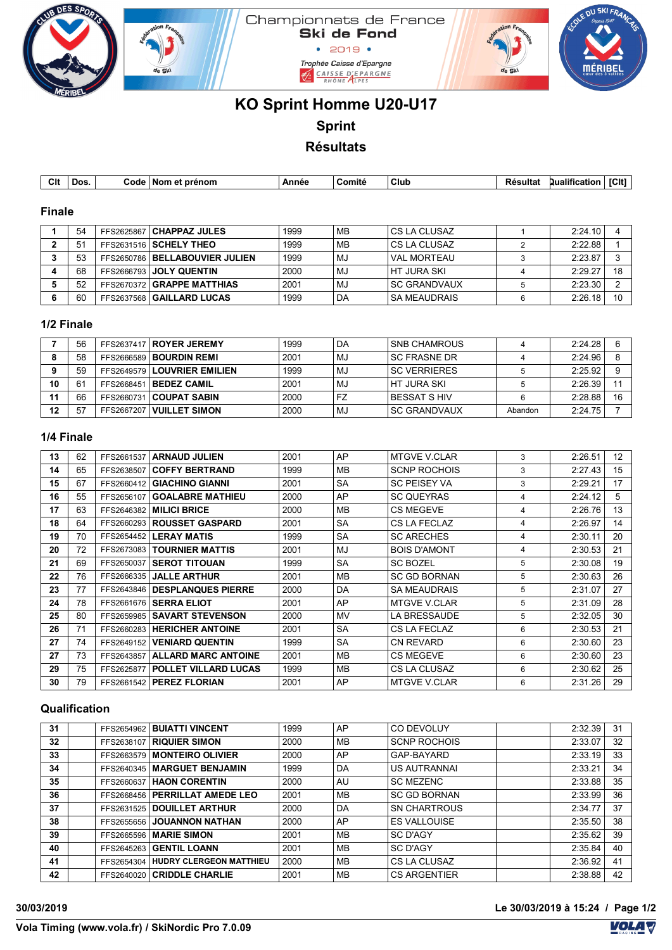

# **KO Sprint Homme U20-U17 Sprint Résultats**

| Clt | Dos. | Code | Nom<br>renom. | Annee | . .<br>∶omite | ' CluL<br>___ | Resultat | .<br>"Jualiticat<br>енн | .<br>וטיי. |
|-----|------|------|---------------|-------|---------------|---------------|----------|-------------------------|------------|

### **Finale**

| 54             | FFS2625867   CHAPPAZ JULES       | 1999 | MВ | l CS LA CLUSAZ      | 2:24.10 |    |
|----------------|----------------------------------|------|----|---------------------|---------|----|
| 5 <sup>4</sup> | FFS2631516 SCHELY THEO           | 1999 | MB | l CS LA CLUSAZ      | 2:22.88 |    |
| 53             | FFS2650786   BELLABOUVIER JULIEN | 1999 | MJ | <b>VAL MORTEAU</b>  | 2:23.87 | ິ  |
| 68             | FFS2666793 JOLY QUENTIN          | 2000 | MJ | I HT JURA SKI       | 2:29.27 | 18 |
| 52             | FFS2670372 GRAPPE MATTHIAS       | 2001 | MJ | l SC GRANDVAUX      | 2:23.30 |    |
| 60             | FFS2637568   GAILLARD LUCAS      | 1999 | DA | <b>SA MEAUDRAIS</b> | 2:26.18 | 10 |

#### **1/2 Finale**

|           | 56 |            | FFS2637417   ROYER JEREMY     | 1999 | DA        | <b>SNB CHAMROUS</b> |         | 2:24.28 | 6  |
|-----------|----|------------|-------------------------------|------|-----------|---------------------|---------|---------|----|
|           | 58 |            | FFS2666589   BOURDIN REMI     | 2001 | MJ        | <b>SC FRASNE DR</b> |         | 2:24.96 | 8  |
| $\bullet$ | 59 |            | FFS2649579   LOUVRIER EMILIEN | 1999 | MJ.       | <b>SC VERRIERES</b> |         | 2:25.92 |    |
| 10        | 61 | FFS2668451 | <b>BEDEZ CAMIL</b>            | 2001 | MJ        | I HT JURA SKI       |         | 2:26.39 | 11 |
| 11        | 66 | FFS2660731 | <b>COUPAT SABIN</b>           | 2000 | <b>FZ</b> | I BESSAT S HIV      |         | 2:28.88 | 16 |
| 12        | 57 |            | FFS2667207   VUILLET SIMON    | 2000 | MJ.       | <b>SC GRANDVAUX</b> | Abandon | 2:24.75 |    |

#### **1/4 Finale**

| 13 | 62 | FFS2661537 | <b>ARNAUD JULIEN</b>        | 2001 | AP        | <b>MTGVE V.CLAR</b> | 3 | 2:26.51 | 12 |
|----|----|------------|-----------------------------|------|-----------|---------------------|---|---------|----|
| 14 | 65 | FFS2638507 | <b>COFFY BERTRAND</b>       | 1999 | <b>MB</b> | <b>SCNP ROCHOIS</b> | 3 | 2:27.43 | 15 |
| 15 | 67 | FFS2660412 | <b>GIACHINO GIANNI</b>      | 2001 | <b>SA</b> | <b>SC PEISEY VA</b> | 3 | 2:29.21 | 17 |
| 16 | 55 | FFS2656107 | <b>GOALABRE MATHIEU</b>     | 2000 | AP        | <b>SC QUEYRAS</b>   | 4 | 2:24.12 | 5  |
| 17 | 63 | FFS2646382 | <b>MILICI BRICE</b>         | 2000 | MВ        | <b>CS MEGEVE</b>    | 4 | 2:26.76 | 13 |
| 18 | 64 | FFS2660293 | <b>ROUSSET GASPARD</b>      | 2001 | <b>SA</b> | CS LA FECLAZ        | 4 | 2:26.97 | 14 |
| 19 | 70 | FFS2654452 | <b>LERAY MATIS</b>          | 1999 | <b>SA</b> | <b>SC ARECHES</b>   | 4 | 2:30.11 | 20 |
| 20 | 72 | FFS2673083 | <b>TOURNIER MATTIS</b>      | 2001 | MJ        | <b>BOIS D'AMONT</b> | 4 | 2:30.53 | 21 |
| 21 | 69 | FFS2650037 | <b>SEROT TITOUAN</b>        | 1999 | <b>SA</b> | <b>SC BOZEL</b>     | 5 | 2:30.08 | 19 |
| 22 | 76 | FFS2666335 | <b>JALLE ARTHUR</b>         | 2001 | <b>MB</b> | <b>SC GD BORNAN</b> | 5 | 2:30.63 | 26 |
| 23 | 77 | FFS2643846 | <b>DESPLANQUES PIERRE</b>   | 2000 | DA        | <b>SA MEAUDRAIS</b> | 5 | 2:31.07 | 27 |
| 24 | 78 | FFS2661676 | <b>SERRA ELIOT</b>          | 2001 | AP        | <b>MTGVE V.CLAR</b> | 5 | 2:31.09 | 28 |
| 25 | 80 | FFS2659985 | <b>SAVART STEVENSON</b>     | 2000 | <b>MV</b> | LA BRESSAUDE        | 5 | 2:32.05 | 30 |
| 26 | 71 | FFS2660283 | <b>HERICHER ANTOINE</b>     | 2001 | <b>SA</b> | CS LA FECLAZ        | 6 | 2:30.53 | 21 |
| 27 | 74 | FFS2649152 | <b>VENIARD QUENTIN</b>      | 1999 | <b>SA</b> | <b>CN REVARD</b>    | 6 | 2:30.60 | 23 |
| 27 | 73 | FFS2643857 | <b>ALLARD MARC ANTOINE</b>  | 2001 | <b>MB</b> | <b>CS MEGEVE</b>    | 6 | 2:30.60 | 23 |
| 29 | 75 | FFS2625877 | <b>POLLET VILLARD LUCAS</b> | 1999 | <b>MB</b> | CS LA CLUSAZ        | 6 | 2:30.62 | 25 |
| 30 | 79 |            | FFS2661542   PEREZ FLORIAN  | 2001 | AP        | <b>MTGVE V.CLAR</b> | 6 | 2:31.26 | 29 |

#### **Qualification**

| 31 |            | FFS2654962   BUIATTI VINCENT       | 1999 | AP        | CO DEVOLUY          | 2:32.39 | 31 |
|----|------------|------------------------------------|------|-----------|---------------------|---------|----|
| 32 | FFS2638107 | <b>RIQUIER SIMON</b>               | 2000 | MВ        | <b>SCNP ROCHOIS</b> | 2:33.07 | 32 |
| 33 | FFS2663579 | <b>MONTEIRO OLIVIER</b>            | 2000 | AP        | GAP-BAYARD          | 2:33.19 | 33 |
| 34 |            | FFS2640345 MARGUET BENJAMIN        | 1999 | DA        | <b>US AUTRANNAI</b> | 2:33.21 | 34 |
| 35 |            | FFS2660637   HAON CORENTIN         | 2000 | AU        | <b>SC MEZENC</b>    | 2:33.88 | 35 |
| 36 |            | FFS2668456   PERRILLAT AMEDE LEO   | 2001 | MB        | <b>SC GD BORNAN</b> | 2:33.99 | 36 |
| 37 |            | FFS2631525 DOUILLET ARTHUR         | 2000 | DA        | <b>SN CHARTROUS</b> | 2:34.77 | 37 |
| 38 | FFS2655656 | <b>JOUANNON NATHAN</b>             | 2000 | AP        | <b>ES VALLOUISE</b> | 2:35.50 | 38 |
| 39 | FFS2665596 | <b>MARIE SIMON</b>                 | 2001 | MВ        | SC D'AGY            | 2:35.62 | 39 |
| 40 | FFS2645263 | <b>GENTIL LOANN</b>                | 2001 | MВ        | SC D'AGY            | 2:35.84 | 40 |
| 41 |            | FFS2654304 HUDRY CLERGEON MATTHIEU | 2000 | MВ        | CS LA CLUSAZ        | 2:36.92 | 41 |
| 42 |            | FFS2640020 CRIDDLE CHARLIE         | 2001 | <b>MB</b> | <b>CS ARGENTIER</b> | 2:38.88 | 42 |

**30/03/2019 Le 30/03/2019 à 15:24 / Page 1/2**